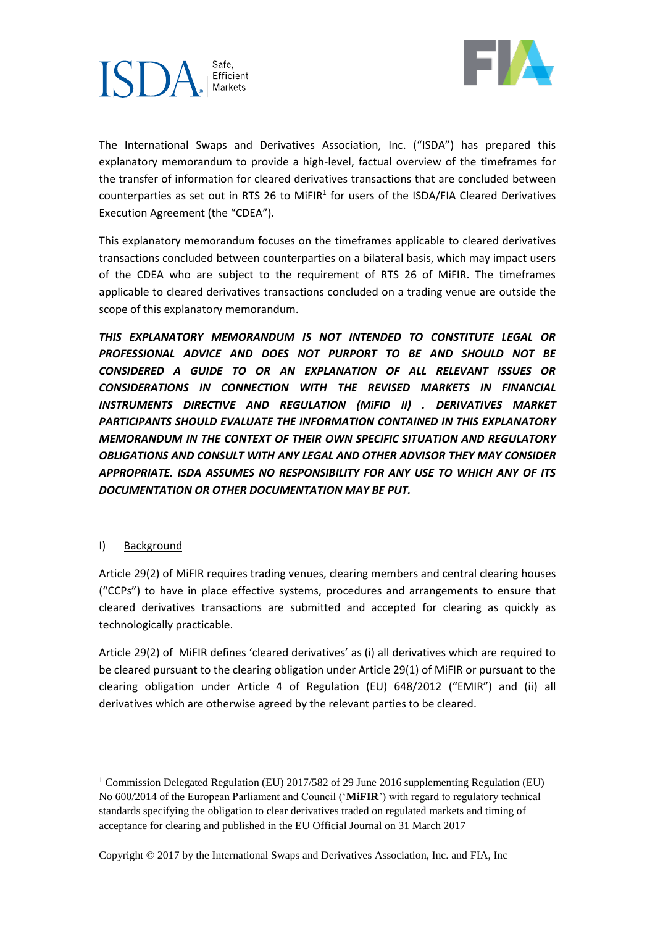



The International Swaps and Derivatives Association, Inc. ("ISDA") has prepared this explanatory memorandum to provide a high-level, factual overview of the timeframes for the transfer of information for cleared derivatives transactions that are concluded between counterparties as set out in RTS 26 to MiFIR $^1$  for users of the ISDA/FIA Cleared Derivatives Execution Agreement (the "CDEA").

This explanatory memorandum focuses on the timeframes applicable to cleared derivatives transactions concluded between counterparties on a bilateral basis, which may impact users of the CDEA who are subject to the requirement of RTS 26 of MiFIR. The timeframes applicable to cleared derivatives transactions concluded on a trading venue are outside the scope of this explanatory memorandum.

*THIS EXPLANATORY MEMORANDUM IS NOT INTENDED TO CONSTITUTE LEGAL OR PROFESSIONAL ADVICE AND DOES NOT PURPORT TO BE AND SHOULD NOT BE CONSIDERED A GUIDE TO OR AN EXPLANATION OF ALL RELEVANT ISSUES OR CONSIDERATIONS IN CONNECTION WITH THE REVISED MARKETS IN FINANCIAL INSTRUMENTS DIRECTIVE AND REGULATION (MiFID II) . DERIVATIVES MARKET PARTICIPANTS SHOULD EVALUATE THE INFORMATION CONTAINED IN THIS EXPLANATORY MEMORANDUM IN THE CONTEXT OF THEIR OWN SPECIFIC SITUATION AND REGULATORY OBLIGATIONS AND CONSULT WITH ANY LEGAL AND OTHER ADVISOR THEY MAY CONSIDER APPROPRIATE. ISDA ASSUMES NO RESPONSIBILITY FOR ANY USE TO WHICH ANY OF ITS DOCUMENTATION OR OTHER DOCUMENTATION MAY BE PUT.*

### I) Background

1

Article 29(2) of MiFIR requires trading venues, clearing members and central clearing houses ("CCPs") to have in place effective systems, procedures and arrangements to ensure that cleared derivatives transactions are submitted and accepted for clearing as quickly as technologically practicable.

Article 29(2) of MiFIR defines 'cleared derivatives' as (i) all derivatives which are required to be cleared pursuant to the clearing obligation under Article 29(1) of MiFIR or pursuant to the clearing obligation under Article 4 of Regulation (EU) 648/2012 ("EMIR") and (ii) all derivatives which are otherwise agreed by the relevant parties to be cleared.

<sup>1</sup> Commission Delegated Regulation (EU) 2017/582 of 29 June 2016 supplementing Regulation (EU) No 600/2014 of the European Parliament and Council ('**MiFIR**') with regard to regulatory technical standards specifying the obligation to clear derivatives traded on regulated markets and timing of acceptance for clearing and published in the EU Official Journal on 31 March 2017

Copyright © 2017 by the International Swaps and Derivatives Association, Inc. and FIA, Inc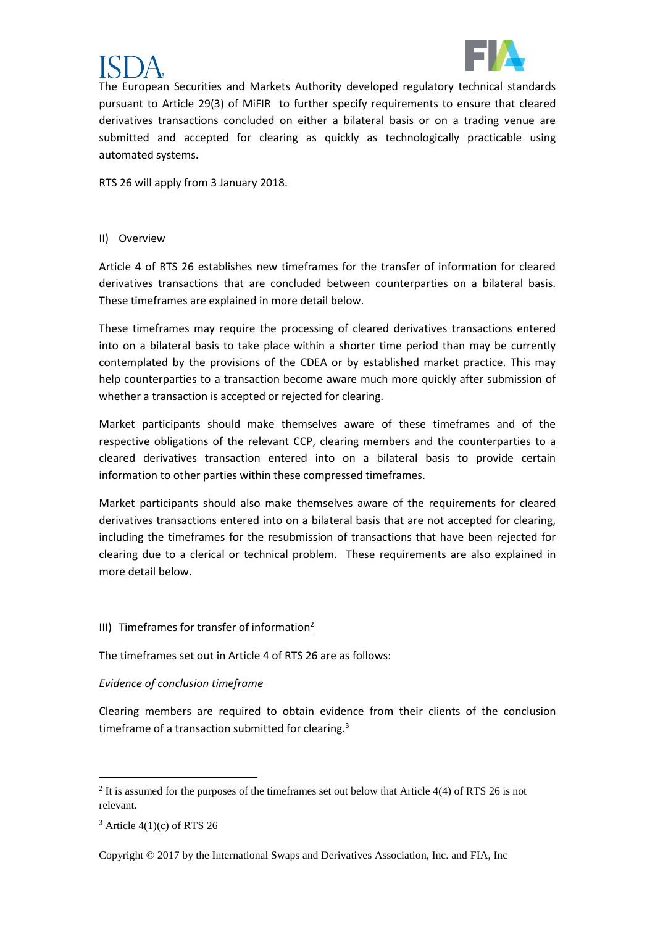



The European Securities and Markets Authority developed regulatory technical standards pursuant to Article 29(3) of MiFIR to further specify requirements to ensure that cleared derivatives transactions concluded on either a bilateral basis or on a trading venue are submitted and accepted for clearing as quickly as technologically practicable using automated systems.

RTS 26 will apply from 3 January 2018.

#### II) Overview

Article 4 of RTS 26 establishes new timeframes for the transfer of information for cleared derivatives transactions that are concluded between counterparties on a bilateral basis. These timeframes are explained in more detail below.

These timeframes may require the processing of cleared derivatives transactions entered into on a bilateral basis to take place within a shorter time period than may be currently contemplated by the provisions of the CDEA or by established market practice. This may help counterparties to a transaction become aware much more quickly after submission of whether a transaction is accepted or rejected for clearing.

Market participants should make themselves aware of these timeframes and of the respective obligations of the relevant CCP, clearing members and the counterparties to a cleared derivatives transaction entered into on a bilateral basis to provide certain information to other parties within these compressed timeframes.

Market participants should also make themselves aware of the requirements for cleared derivatives transactions entered into on a bilateral basis that are not accepted for clearing, including the timeframes for the resubmission of transactions that have been rejected for clearing due to a clerical or technical problem. These requirements are also explained in more detail below.

### III) Timeframes for transfer of information<sup>2</sup>

The timeframes set out in Article 4 of RTS 26 are as follows:

### *Evidence of conclusion timeframe*

Clearing members are required to obtain evidence from their clients of the conclusion timeframe of a transaction submitted for clearing.<sup>3</sup>

1

Copyright © 2017 by the International Swaps and Derivatives Association, Inc. and FIA, Inc

<sup>&</sup>lt;sup>2</sup> It is assumed for the purposes of the timeframes set out below that Article 4(4) of RTS 26 is not relevant.

 $3$  Article 4(1)(c) of RTS 26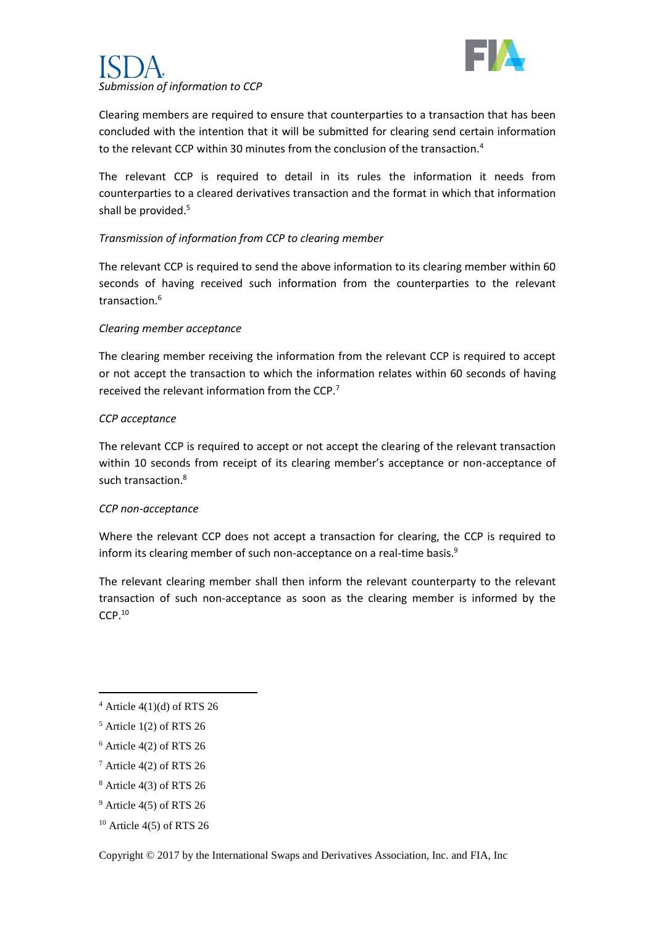

# *Submission of information to CCP*

Clearing members are required to ensure that counterparties to a transaction that has been concluded with the intention that it will be submitted for clearing send certain information to the relevant CCP within 30 minutes from the conclusion of the transaction.<sup>4</sup>

The relevant CCP is required to detail in its rules the information it needs from counterparties to a cleared derivatives transaction and the format in which that information shall be provided.<sup>5</sup>

## *Transmission of information from CCP to clearing member*

The relevant CCP is required to send the above information to its clearing member within 60 seconds of having received such information from the counterparties to the relevant transaction  $6$ 

### *Clearing member acceptance*

The clearing member receiving the information from the relevant CCP is required to accept or not accept the transaction to which the information relates within 60 seconds of having received the relevant information from the CCP.<sup>7</sup>

### *CCP acceptance*

The relevant CCP is required to accept or not accept the clearing of the relevant transaction within 10 seconds from receipt of its clearing member's acceptance or non-acceptance of such transaction.<sup>8</sup>

### *CCP non-acceptance*

Where the relevant CCP does not accept a transaction for clearing, the CCP is required to inform its clearing member of such non-acceptance on a real-time basis.<sup>9</sup>

The relevant clearing member shall then inform the relevant counterparty to the relevant transaction of such non-acceptance as soon as the clearing member is informed by the CCP.<sup>10</sup>

**.** 

 $4$  Article 4(1)(d) of RTS 26

 $5$  Article 1(2) of RTS 26

 $6$  Article 4(2) of RTS 26

<sup>7</sup> Article 4(2) of RTS 26

 $8$  Article 4(3) of RTS 26

<sup>9</sup> Article 4(5) of RTS 26

 $10$  Article 4(5) of RTS 26

Copyright © 2017 by the International Swaps and Derivatives Association, Inc. and FIA, Inc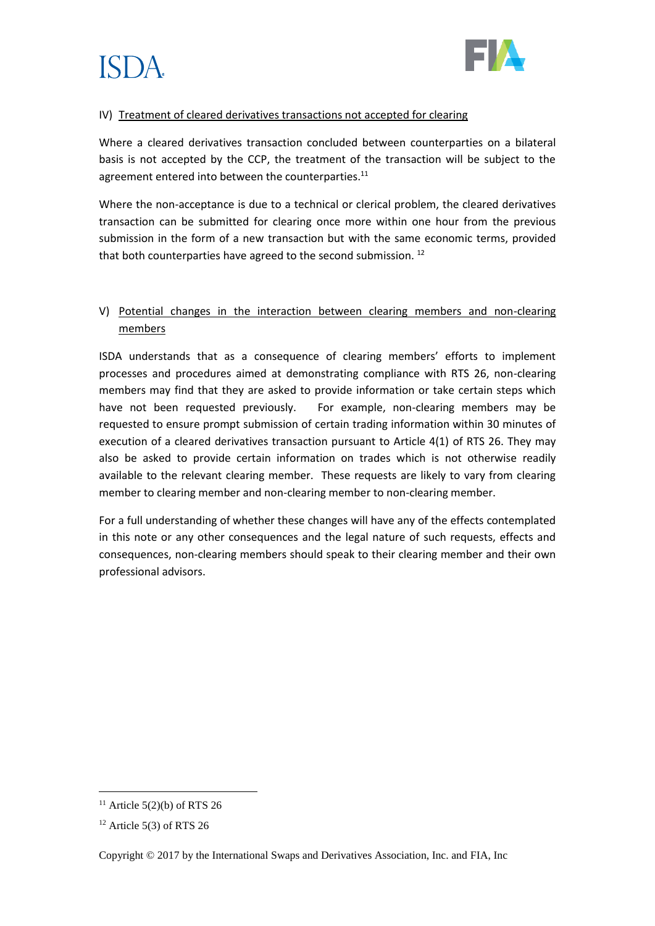



#### IV) Treatment of cleared derivatives transactions not accepted for clearing

Where a cleared derivatives transaction concluded between counterparties on a bilateral basis is not accepted by the CCP, the treatment of the transaction will be subject to the agreement entered into between the counterparties.<sup>11</sup>

Where the non-acceptance is due to a technical or clerical problem, the cleared derivatives transaction can be submitted for clearing once more within one hour from the previous submission in the form of a new transaction but with the same economic terms, provided that both counterparties have agreed to the second submission.<sup>12</sup>

# V) Potential changes in the interaction between clearing members and non-clearing members

ISDA understands that as a consequence of clearing members' efforts to implement processes and procedures aimed at demonstrating compliance with RTS 26, non-clearing members may find that they are asked to provide information or take certain steps which have not been requested previously. For example, non-clearing members may be requested to ensure prompt submission of certain trading information within 30 minutes of execution of a cleared derivatives transaction pursuant to Article 4(1) of RTS 26. They may also be asked to provide certain information on trades which is not otherwise readily available to the relevant clearing member. These requests are likely to vary from clearing member to clearing member and non-clearing member to non-clearing member.

For a full understanding of whether these changes will have any of the effects contemplated in this note or any other consequences and the legal nature of such requests, effects and consequences, non-clearing members should speak to their clearing member and their own professional advisors.

**.** 

 $11$  Article 5(2)(b) of RTS 26

 $12$  Article 5(3) of RTS 26